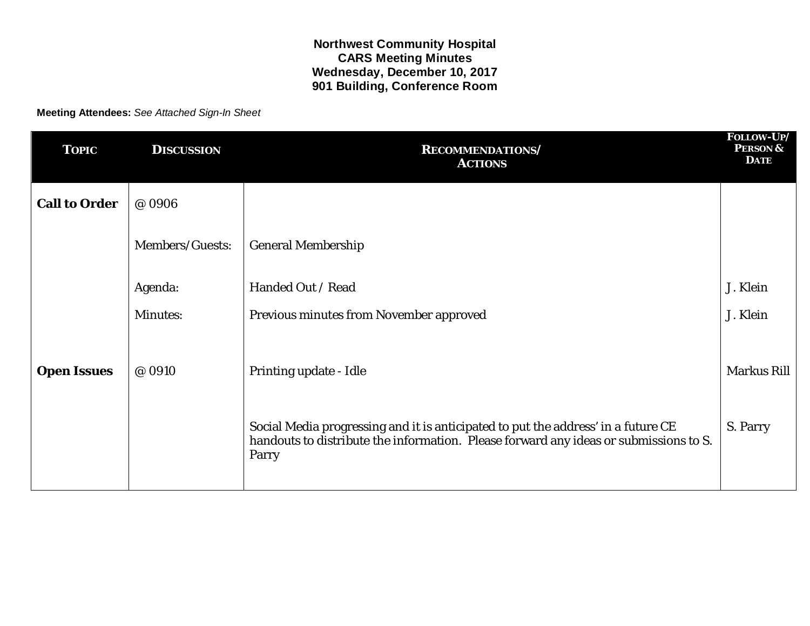**Meeting Attendees:** *See Attached Sign-In Sheet*

| <b>TOPIC</b>         | <b>DISCUSSION</b> | <b>RECOMMENDATIONS/</b><br><b>ACTIONS</b>                                                                                                                                           | FOLLOW-UP/<br><b>PERSON &amp;</b><br><b>DATE</b> |
|----------------------|-------------------|-------------------------------------------------------------------------------------------------------------------------------------------------------------------------------------|--------------------------------------------------|
| <b>Call to Order</b> | @ 0906            |                                                                                                                                                                                     |                                                  |
|                      | Members/Guests:   | <b>General Membership</b>                                                                                                                                                           |                                                  |
|                      | Agenda:           | Handed Out / Read                                                                                                                                                                   | J. Klein                                         |
|                      | <b>Minutes:</b>   | <b>Previous minutes from November approved</b>                                                                                                                                      | J. Klein                                         |
| <b>Open Issues</b>   | @ 0910            | Printing update - Idle                                                                                                                                                              | <b>Markus Rill</b>                               |
|                      |                   | Social Media progressing and it is anticipated to put the address' in a future CE<br>handouts to distribute the information. Please forward any ideas or submissions to S.<br>Parry | S. Parry                                         |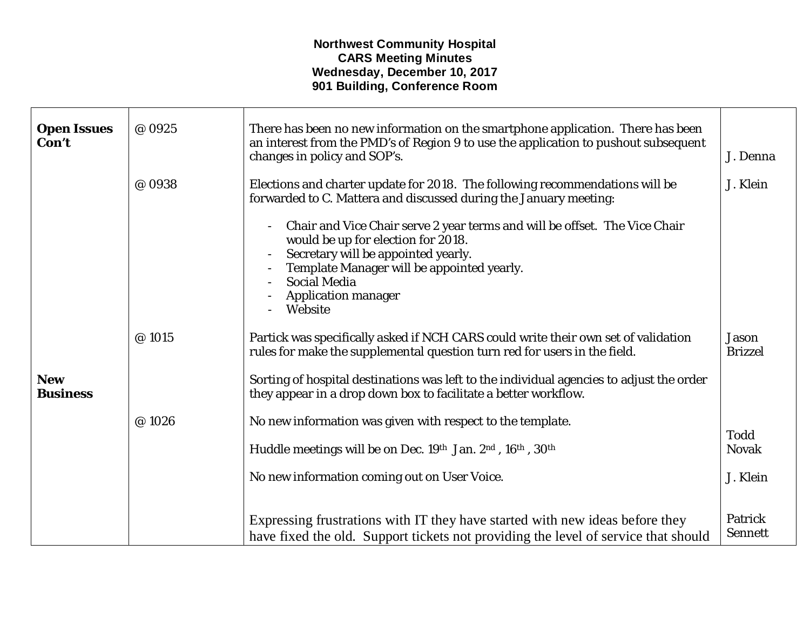| <b>Open Issues</b><br>Con't   | @ 0925 | There has been no new information on the smartphone application. There has been<br>an interest from the PMD's of Region 9 to use the application to pushout subsequent<br>changes in policy and SOP's.                                                                                  | J. Denna                       |
|-------------------------------|--------|-----------------------------------------------------------------------------------------------------------------------------------------------------------------------------------------------------------------------------------------------------------------------------------------|--------------------------------|
|                               | @ 0938 | Elections and charter update for 2018. The following recommendations will be<br>forwarded to C. Mattera and discussed during the January meeting:                                                                                                                                       | J. Klein                       |
|                               |        | Chair and Vice Chair serve 2 year terms and will be offset. The Vice Chair<br>$\blacksquare$<br>would be up for election for 2018.<br>Secretary will be appointed yearly.<br>Template Manager will be appointed yearly.<br><b>Social Media</b><br><b>Application manager</b><br>Website |                                |
|                               | @ 1015 | Partick was specifically asked if NCH CARS could write their own set of validation<br>rules for make the supplemental question turn red for users in the field.                                                                                                                         | <b>Jason</b><br><b>Brizzel</b> |
| <b>New</b><br><b>Business</b> |        | Sorting of hospital destinations was left to the individual agencies to adjust the order<br>they appear in a drop down box to facilitate a better workflow.                                                                                                                             |                                |
|                               | @1026  | No new information was given with respect to the template.                                                                                                                                                                                                                              |                                |
|                               |        | Huddle meetings will be on Dec. 19th Jan. 2nd, 16th, 30th                                                                                                                                                                                                                               | <b>Todd</b><br><b>Novak</b>    |
|                               |        | No new information coming out on User Voice.                                                                                                                                                                                                                                            | J. Klein                       |
|                               |        | Expressing frustrations with IT they have started with new ideas before they<br>have fixed the old. Support tickets not providing the level of service that should                                                                                                                      | Patrick<br><b>Sennett</b>      |